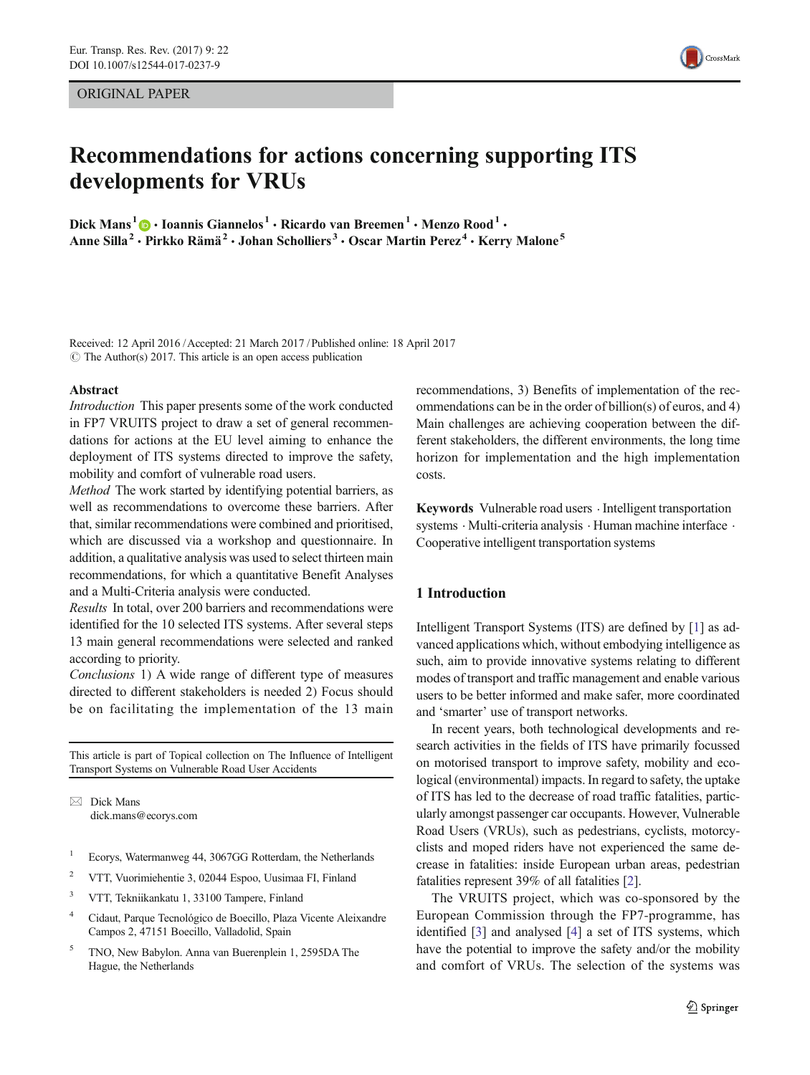#### ORIGINAL PAPER

# Recommendations for actions concerning supporting ITS developments for VRUs

Dick Mans<sup>1</sup>  $\bullet$  Ioannis Giannelos<sup>1</sup>  $\cdot$  Ricardo van Breemen<sup>1</sup>  $\cdot$  Menzo Rood<sup>1</sup>  $\cdot$ Anne Silla<sup>2</sup> • Pirkko Rämä<sup>2</sup> • Johan Scholliers<sup>3</sup> • Oscar Martin Perez<sup>4</sup> • Kerry Malone<sup>5</sup>

Received: 12 April 2016 /Accepted: 21 March 2017 / Published online: 18 April 2017  $\circ$  The Author(s) 2017. This article is an open access publication

#### Abstract

Introduction This paper presents some of the work conducted in FP7 VRUITS project to draw a set of general recommendations for actions at the EU level aiming to enhance the deployment of ITS systems directed to improve the safety, mobility and comfort of vulnerable road users.

Method The work started by identifying potential barriers, as well as recommendations to overcome these barriers. After that, similar recommendations were combined and prioritised, which are discussed via a workshop and questionnaire. In addition, a qualitative analysis was used to select thirteen main recommendations, for which a quantitative Benefit Analyses and a Multi-Criteria analysis were conducted.

Results In total, over 200 barriers and recommendations were identified for the 10 selected ITS systems. After several steps 13 main general recommendations were selected and ranked according to priority.

Conclusions 1) A wide range of different type of measures directed to different stakeholders is needed 2) Focus should be on facilitating the implementation of the 13 main

This article is part of Topical collection on The Influence of Intelligent Transport Systems on Vulnerable Road User Accidents

 $\boxtimes$  Dick Mans dick.mans@ecorys.com

- <sup>1</sup> Ecorys, Watermanweg 44, 3067GG Rotterdam, the Netherlands
- <sup>2</sup> VTT, Vuorimiehentie 3, 02044 Espoo, Uusimaa FI, Finland
- <sup>3</sup> VTT, Tekniikankatu 1, 33100 Tampere, Finland
- <sup>4</sup> Cidaut, Parque Tecnológico de Boecillo, Plaza Vicente Aleixandre Campos 2, 47151 Boecillo, Valladolid, Spain
- <sup>5</sup> TNO, New Babylon. Anna van Buerenplein 1, 2595DA The Hague, the Netherlands

recommendations, 3) Benefits of implementation of the recommendations can be in the order of billion(s) of euros, and 4) Main challenges are achieving cooperation between the different stakeholders, the different environments, the long time horizon for implementation and the high implementation costs.

Keywords Vulnerable road users . Intelligent transportation systems · Multi-criteria analysis · Human machine interface · Cooperative intelligent transportation systems

#### 1 Introduction

Intelligent Transport Systems (ITS) are defined by [[1\]](#page-13-0) as advanced applications which, without embodying intelligence as such, aim to provide innovative systems relating to different modes of transport and traffic management and enable various users to be better informed and make safer, more coordinated and 'smarter' use of transport networks.

In recent years, both technological developments and research activities in the fields of ITS have primarily focussed on motorised transport to improve safety, mobility and ecological (environmental) impacts. In regard to safety, the uptake of ITS has led to the decrease of road traffic fatalities, particularly amongst passenger car occupants. However, Vulnerable Road Users (VRUs), such as pedestrians, cyclists, motorcyclists and moped riders have not experienced the same decrease in fatalities: inside European urban areas, pedestrian fatalities represent 39% of all fatalities [\[2](#page-13-0)].

The VRUITS project, which was co-sponsored by the European Commission through the FP7-programme, has identified [[3\]](#page-13-0) and analysed [[4\]](#page-13-0) a set of ITS systems, which have the potential to improve the safety and/or the mobility and comfort of VRUs. The selection of the systems was

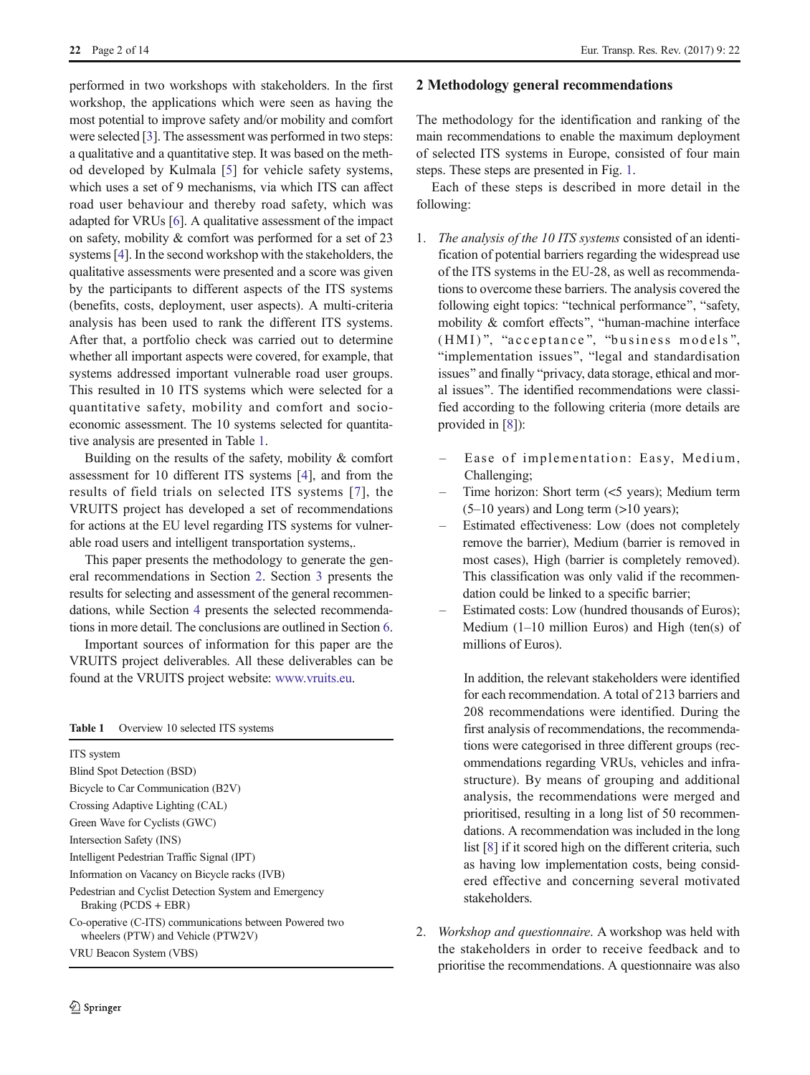<span id="page-1-0"></span>performed in two workshops with stakeholders. In the first workshop, the applications which were seen as having the most potential to improve safety and/or mobility and comfort were selected [[3\]](#page-13-0). The assessment was performed in two steps: a qualitative and a quantitative step. It was based on the method developed by Kulmala [\[5](#page-13-0)] for vehicle safety systems, which uses a set of 9 mechanisms, via which ITS can affect road user behaviour and thereby road safety, which was adapted for VRUs [\[6](#page-13-0)]. A qualitative assessment of the impact on safety, mobility & comfort was performed for a set of 23 systems [[4\]](#page-13-0). In the second workshop with the stakeholders, the qualitative assessments were presented and a score was given by the participants to different aspects of the ITS systems (benefits, costs, deployment, user aspects). A multi-criteria analysis has been used to rank the different ITS systems. After that, a portfolio check was carried out to determine whether all important aspects were covered, for example, that systems addressed important vulnerable road user groups. This resulted in 10 ITS systems which were selected for a quantitative safety, mobility and comfort and socioeconomic assessment. The 10 systems selected for quantitative analysis are presented in Table 1.

Building on the results of the safety, mobility & comfort assessment for 10 different ITS systems [[4\]](#page-13-0), and from the results of field trials on selected ITS systems [[7\]](#page-13-0), the VRUITS project has developed a set of recommendations for actions at the EU level regarding ITS systems for vulnerable road users and intelligent transportation systems,.

This paper presents the methodology to generate the general recommendations in Section 2. Section [3](#page-4-0) presents the results for selecting and assessment of the general recommendations, while Section [4](#page-8-0) presents the selected recommendations in more detail. The conclusions are outlined in Section [6.](#page-12-0)

Important sources of information for this paper are the VRUITS project deliverables. All these deliverables can be found at the VRUITS project website: [www.vruits.eu.](http://www.vruits.eu)

| Table 1 | Overview 10 selected ITS systems |  |  |  |  |
|---------|----------------------------------|--|--|--|--|
|---------|----------------------------------|--|--|--|--|

| ITS system                                                                                    |
|-----------------------------------------------------------------------------------------------|
| Blind Spot Detection (BSD)                                                                    |
| Bicycle to Car Communication (B2V)                                                            |
| Crossing Adaptive Lighting (CAL)                                                              |
| Green Wave for Cyclists (GWC)                                                                 |
| Intersection Safety (INS)                                                                     |
| Intelligent Pedestrian Traffic Signal (IPT)                                                   |
| Information on Vacancy on Bicycle racks (IVB)                                                 |
| Pedestrian and Cyclist Detection System and Emergency<br>Braking (PCDS + EBR)                 |
| Co-operative (C-ITS) communications between Powered two<br>wheelers (PTW) and Vehicle (PTW2V) |
| VRU Beacon System (VBS)                                                                       |

#### 2 Methodology general recommendations

The methodology for the identification and ranking of the main recommendations to enable the maximum deployment of selected ITS systems in Europe, consisted of four main steps. These steps are presented in Fig. [1](#page-2-0).

Each of these steps is described in more detail in the following:

- 1. The analysis of the 10 ITS systems consisted of an identification of potential barriers regarding the widespread use of the ITS systems in the EU-28, as well as recommendations to overcome these barriers. The analysis covered the following eight topics: "technical performance", "safety, mobility  $&$  comfort effects", "human-machine interface  $(HMI)$ ", "acceptance", "business models", "implementation issues", "legal and standardisation issues" and finally "privacy, data storage, ethical and moral issues^. The identified recommendations were classified according to the following criteria (more details are provided in [[8\]](#page-13-0)):
	- Ease of implementation: Easy, Medium, Challenging;
	- Time horizon: Short term (<5 years); Medium term  $(5-10 \text{ years})$  and Long term  $(>10 \text{ years})$ ;
	- Estimated effectiveness: Low (does not completely remove the barrier), Medium (barrier is removed in most cases), High (barrier is completely removed). This classification was only valid if the recommendation could be linked to a specific barrier;
	- Estimated costs: Low (hundred thousands of Euros); Medium  $(1-10$  million Euros) and High (ten(s) of millions of Euros).

In addition, the relevant stakeholders were identified for each recommendation. A total of 213 barriers and 208 recommendations were identified. During the first analysis of recommendations, the recommendations were categorised in three different groups (recommendations regarding VRUs, vehicles and infrastructure). By means of grouping and additional analysis, the recommendations were merged and prioritised, resulting in a long list of 50 recommendations. A recommendation was included in the long list [\[8](#page-13-0)] if it scored high on the different criteria, such as having low implementation costs, being considered effective and concerning several motivated stakeholders.

2. Workshop and questionnaire. A workshop was held with the stakeholders in order to receive feedback and to prioritise the recommendations. A questionnaire was also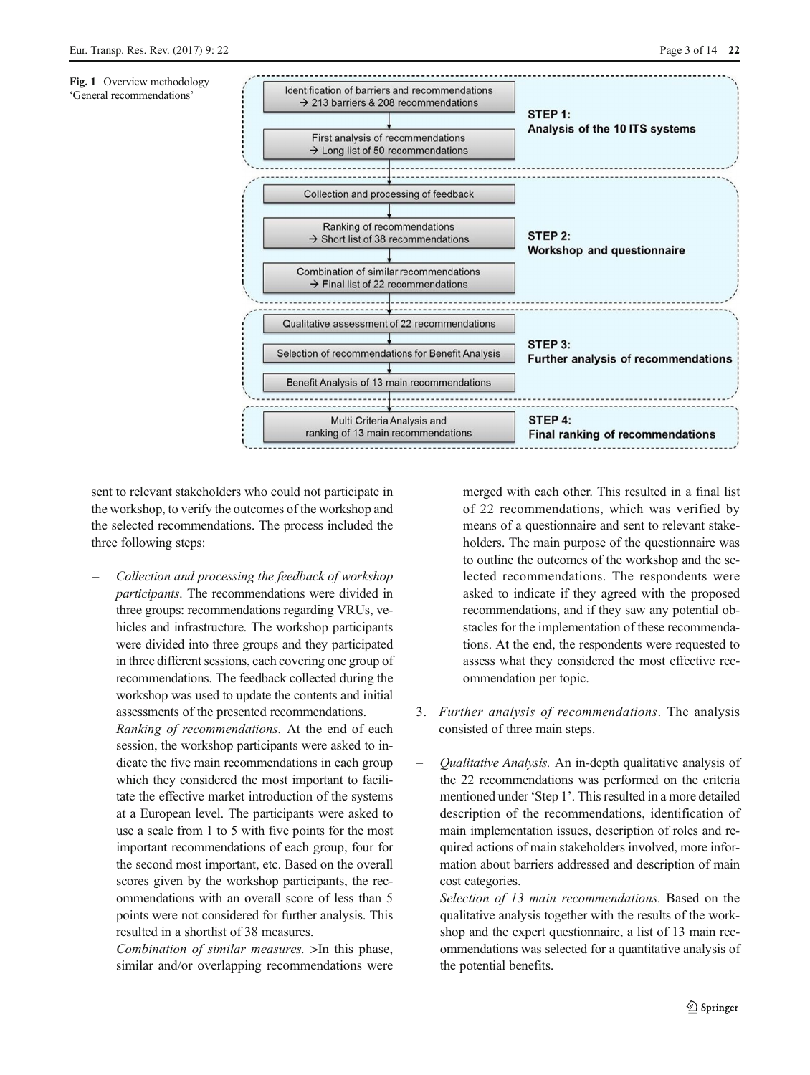<span id="page-2-0"></span>Fig. 1 Overview methodology 'General recommendations'



sent to relevant stakeholders who could not participate in the workshop, to verify the outcomes of the workshop and the selected recommendations. The process included the three following steps:

- Collection and processing the feedback of workshop participants. The recommendations were divided in three groups: recommendations regarding VRUs, vehicles and infrastructure. The workshop participants were divided into three groups and they participated in three different sessions, each covering one group of recommendations. The feedback collected during the workshop was used to update the contents and initial assessments of the presented recommendations.
- Ranking of recommendations. At the end of each session, the workshop participants were asked to indicate the five main recommendations in each group which they considered the most important to facilitate the effective market introduction of the systems at a European level. The participants were asked to use a scale from 1 to 5 with five points for the most important recommendations of each group, four for the second most important, etc. Based on the overall scores given by the workshop participants, the recommendations with an overall score of less than 5 points were not considered for further analysis. This resulted in a shortlist of 38 measures.
- Combination of similar measures. >In this phase, similar and/or overlapping recommendations were

merged with each other. This resulted in a final list of 22 recommendations, which was verified by means of a questionnaire and sent to relevant stakeholders. The main purpose of the questionnaire was to outline the outcomes of the workshop and the selected recommendations. The respondents were asked to indicate if they agreed with the proposed recommendations, and if they saw any potential obstacles for the implementation of these recommendations. At the end, the respondents were requested to assess what they considered the most effective recommendation per topic.

- 3. Further analysis of recommendations. The analysis consisted of three main steps.
- Qualitative Analysis. An in-depth qualitative analysis of the 22 recommendations was performed on the criteria mentioned under 'Step 1'. This resulted in a more detailed description of the recommendations, identification of main implementation issues, description of roles and required actions of main stakeholders involved, more information about barriers addressed and description of main cost categories.
- Selection of 13 main recommendations. Based on the qualitative analysis together with the results of the workshop and the expert questionnaire, a list of 13 main recommendations was selected for a quantitative analysis of the potential benefits.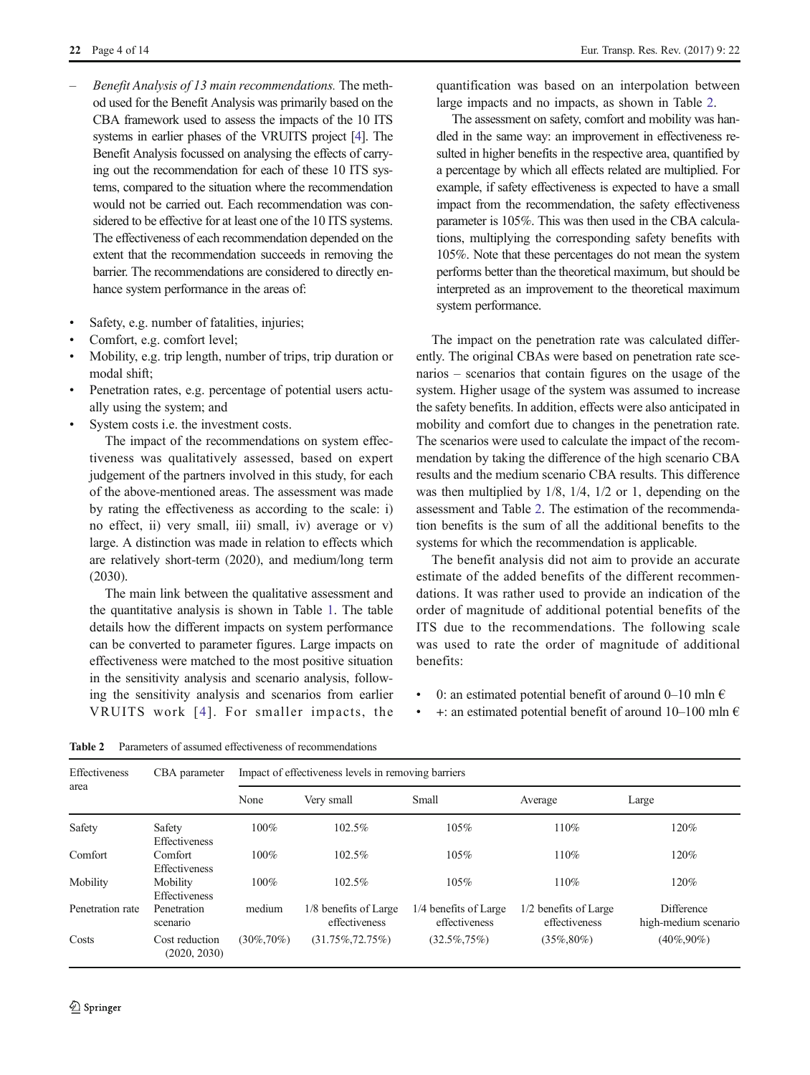- <span id="page-3-0"></span>– Benefit Analysis of 13 main recommendations. The method used for the Benefit Analysis was primarily based on the CBA framework used to assess the impacts of the 10 ITS systems in earlier phases of the VRUITS project [\[4\]](#page-13-0). The Benefit Analysis focussed on analysing the effects of carrying out the recommendation for each of these 10 ITS systems, compared to the situation where the recommendation would not be carried out. Each recommendation was considered to be effective for at least one of the 10 ITS systems. The effectiveness of each recommendation depended on the extent that the recommendation succeeds in removing the barrier. The recommendations are considered to directly enhance system performance in the areas of:
- Safety, e.g. number of fatalities, injuries;
- Comfort, e.g. comfort level;
- & Mobility, e.g. trip length, number of trips, trip duration or modal shift;
- Penetration rates, e.g. percentage of potential users actually using the system; and
- System costs i.e. the investment costs.

The impact of the recommendations on system effectiveness was qualitatively assessed, based on expert judgement of the partners involved in this study, for each of the above-mentioned areas. The assessment was made by rating the effectiveness as according to the scale: i) no effect, ii) very small, iii) small, iv) average or v) large. A distinction was made in relation to effects which are relatively short-term (2020), and medium/long term (2030).

The main link between the qualitative assessment and the quantitative analysis is shown in Table [1.](#page-1-0) The table details how the different impacts on system performance can be converted to parameter figures. Large impacts on effectiveness were matched to the most positive situation in the sensitivity analysis and scenario analysis, following the sensitivity analysis and scenarios from earlier VRUITS work [[4\]](#page-13-0). For smaller impacts, the quantification was based on an interpolation between large impacts and no impacts, as shown in Table 2.

The assessment on safety, comfort and mobility was handled in the same way: an improvement in effectiveness resulted in higher benefits in the respective area, quantified by a percentage by which all effects related are multiplied. For example, if safety effectiveness is expected to have a small impact from the recommendation, the safety effectiveness parameter is 105%. This was then used in the CBA calculations, multiplying the corresponding safety benefits with 105%. Note that these percentages do not mean the system performs better than the theoretical maximum, but should be interpreted as an improvement to the theoretical maximum system performance.

The impact on the penetration rate was calculated differently. The original CBAs were based on penetration rate scenarios – scenarios that contain figures on the usage of the system. Higher usage of the system was assumed to increase the safety benefits. In addition, effects were also anticipated in mobility and comfort due to changes in the penetration rate. The scenarios were used to calculate the impact of the recommendation by taking the difference of the high scenario CBA results and the medium scenario CBA results. This difference was then multiplied by 1/8, 1/4, 1/2 or 1, depending on the assessment and Table 2. The estimation of the recommendation benefits is the sum of all the additional benefits to the systems for which the recommendation is applicable.

The benefit analysis did not aim to provide an accurate estimate of the added benefits of the different recommendations. It was rather used to provide an indication of the order of magnitude of additional potential benefits of the ITS due to the recommendations. The following scale was used to rate the order of magnitude of additional benefits:

- 0: an estimated potential benefit of around 0–10 mln  $\epsilon$
- +: an estimated potential benefit of around 10–100 mln  $\epsilon$

Table 2 Parameters of assumed effectiveness of recommendations

| <b>Effectiveness</b> | CBA parameter                    | Impact of effectiveness levels in removing barriers |                                        |                                        |                                        |                                           |  |  |  |
|----------------------|----------------------------------|-----------------------------------------------------|----------------------------------------|----------------------------------------|----------------------------------------|-------------------------------------------|--|--|--|
| area                 |                                  | None                                                | Very small                             | Small                                  | Average                                | Large                                     |  |  |  |
| Safety               | Safety<br><b>Effectiveness</b>   | $100\%$                                             | $102.5\%$                              | 105%                                   | 110%                                   | 120%                                      |  |  |  |
| Comfort              | Comfort<br>Effectiveness         | $100\%$                                             | $102.5\%$                              | 105%                                   | 110%                                   | 120%                                      |  |  |  |
| Mobility             | Mobility<br><b>Effectiveness</b> | $100\%$                                             | $102.5\%$                              | 105%                                   | 110%                                   | 120%                                      |  |  |  |
| Penetration rate     | Penetration<br>scenario          | medium                                              | 1/8 benefits of Large<br>effectiveness | 1/4 benefits of Large<br>effectiveness | 1/2 benefits of Large<br>effectiveness | <b>Difference</b><br>high-medium scenario |  |  |  |
| Costs                | Cost reduction<br>(2020, 2030)   | $(30\%, 70\%)$                                      | $(31.75\%, 72.75\%)$                   | $(32.5\%, 75\%)$                       | $(35\%, 80\%)$                         | $(40\%, 90\%)$                            |  |  |  |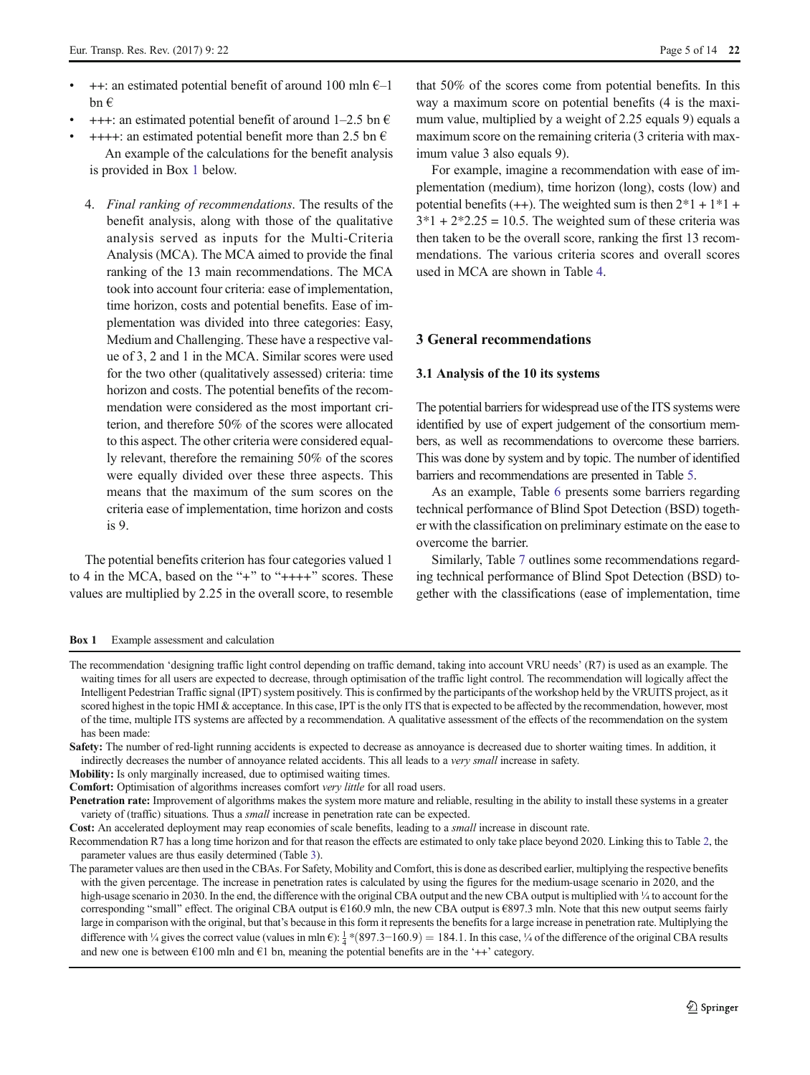- <span id="page-4-0"></span> $++:$  an estimated potential benefit of around 100 mln  $\epsilon$ –1 bn €
- +++: an estimated potential benefit of around 1–2.5 bn  $\epsilon$
- $++++$ : an estimated potential benefit more than 2.5 bn  $\epsilon$ An example of the calculations for the benefit analysis is provided in Box 1 below.
	- 4. Final ranking of recommendations. The results of the benefit analysis, along with those of the qualitative analysis served as inputs for the Multi-Criteria Analysis (MCA). The MCA aimed to provide the final ranking of the 13 main recommendations. The MCA took into account four criteria: ease of implementation, time horizon, costs and potential benefits. Ease of implementation was divided into three categories: Easy, Medium and Challenging. These have a respective value of 3, 2 and 1 in the MCA. Similar scores were used for the two other (qualitatively assessed) criteria: time horizon and costs. The potential benefits of the recommendation were considered as the most important criterion, and therefore 50% of the scores were allocated to this aspect. The other criteria were considered equally relevant, therefore the remaining 50% of the scores were equally divided over these three aspects. This means that the maximum of the sum scores on the criteria ease of implementation, time horizon and costs is 9.

The potential benefits criterion has four categories valued 1 to 4 in the MCA, based on the " $+$ " to " $++++$ " scores. These values are multiplied by 2.25 in the overall score, to resemble

that 50% of the scores come from potential benefits. In this way a maximum score on potential benefits (4 is the maximum value, multiplied by a weight of 2.25 equals 9) equals a maximum score on the remaining criteria (3 criteria with maximum value 3 also equals 9).

For example, imagine a recommendation with ease of implementation (medium), time horizon (long), costs (low) and potential benefits  $(++)$ . The weighted sum is then  $2*1 + 1*1 +$  $3*1 + 2*2.25 = 10.5$ . The weighted sum of these criteria was then taken to be the overall score, ranking the first 13 recommendations. The various criteria scores and overall scores used in MCA are shown in Table [4.](#page-5-0)

## 3 General recommendations

#### 3.1 Analysis of the 10 its systems

The potential barriers for widespread use of the ITS systems were identified by use of expert judgement of the consortium members, as well as recommendations to overcome these barriers. This was done by system and by topic. The number of identified barriers and recommendations are presented in Table [5](#page-6-0).

As an example, Table [6](#page-6-0) presents some barriers regarding technical performance of Blind Spot Detection (BSD) together with the classification on preliminary estimate on the ease to overcome the barrier.

Similarly, Table [7](#page-7-0) outlines some recommendations regarding technical performance of Blind Spot Detection (BSD) together with the classifications (ease of implementation, time

#### Box 1 Example assessment and calculation

- Safety: The number of red-light running accidents is expected to decrease as annoyance is decreased due to shorter waiting times. In addition, it indirectly decreases the number of annoyance related accidents. This all leads to a very small increase in safety.
- Mobility: Is only marginally increased, due to optimised waiting times.

Comfort: Optimisation of algorithms increases comfort very little for all road users.

Cost: An accelerated deployment may reap economies of scale benefits, leading to a small increase in discount rate.

The parameter values are then used in the CBAs. For Safety, Mobility and Comfort, this is done as described earlier, multiplying the respective benefits with the given percentage. The increase in penetration rates is calculated by using the figures for the medium-usage scenario in 2020, and the high-usage scenario in 2030. In the end, the difference with the original CBA output and the new CBA output is multiplied with ¼ to account for the corresponding "small" effect. The original CBA output is  $€160.9$  mln, the new CBA output is  $€897.3$  mln. Note that this new output seems fairly large in comparison with the original, but that's because in this form it represents the benefits for a large increase in penetration rate. Multiplying the difference with ¼ gives the correct value (values in mln  $\epsilon$ ):  $\frac{1}{4}*(897.3-160.9) = 184.1$ . In this case, ¼ of the difference of the original CBA results and new one is between  $\epsilon$ 100 mln and  $\epsilon$ 1 bn, meaning the potential benefits are in the '++' category.

The recommendation 'designing traffic light control depending on traffic demand, taking into account VRU needs' (R7) is used as an example. The waiting times for all users are expected to decrease, through optimisation of the traffic light control. The recommendation will logically affect the Intelligent Pedestrian Traffic signal (IPT) system positively. This is confirmed by the participants of the workshop held by the VRUITS project, as it scored highest in the topic HMI & acceptance. In this case, IPT is the only ITS that is expected to be affected by the recommendation, however, most of the time, multiple ITS systems are affected by a recommendation. A qualitative assessment of the effects of the recommendation on the system has been made:

Penetration rate: Improvement of algorithms makes the system more mature and reliable, resulting in the ability to install these systems in a greater variety of (traffic) situations. Thus a small increase in penetration rate can be expected.

Recommendation R7 has a long time horizon and for that reason the effects are estimated to only take place beyond 2020. Linking this to Table [2,](#page-3-0) the parameter values are thus easily determined (Table [3\)](#page-5-0).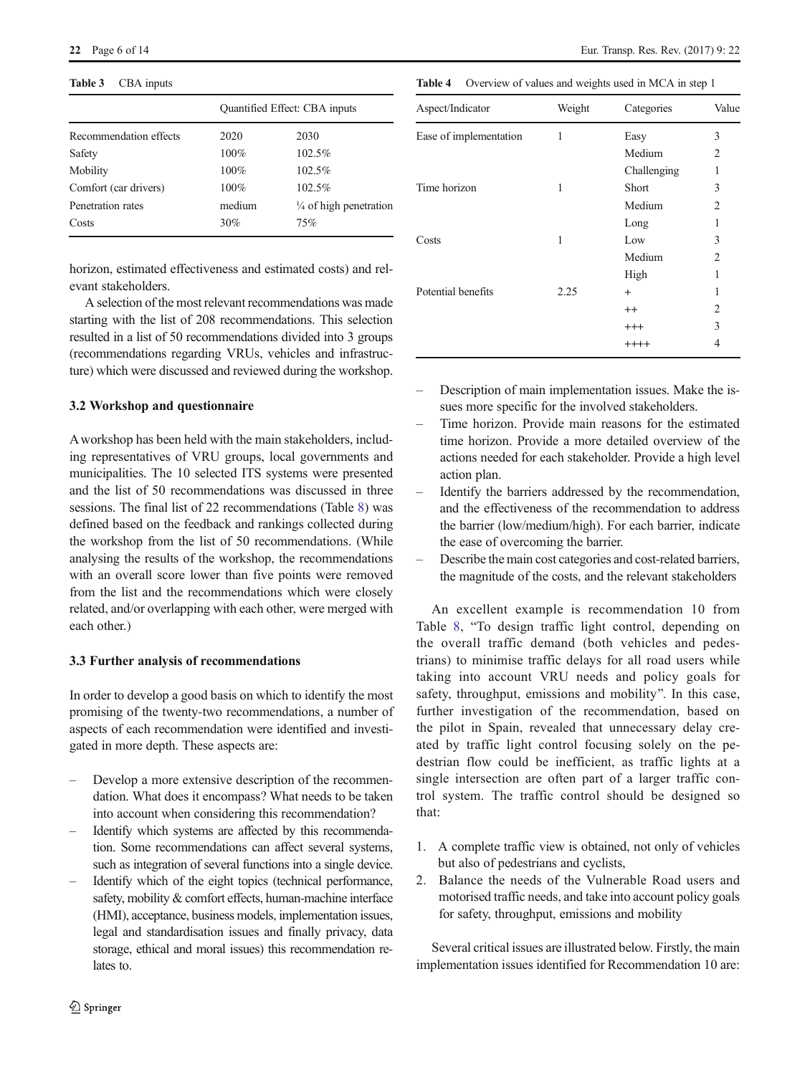#### <span id="page-5-0"></span>Table 3 CBA inputs

|                        |         | <b>Quantified Effect: CBA inputs</b> |  |  |  |  |
|------------------------|---------|--------------------------------------|--|--|--|--|
| Recommendation effects | 2020    | 2030                                 |  |  |  |  |
| Safety                 | 100%    | 102.5%                               |  |  |  |  |
| Mobility               | 100%    | 102.5%                               |  |  |  |  |
| Comfort (car drivers)  | $100\%$ | 102.5%                               |  |  |  |  |
| Penetration rates      | medium  | $\frac{1}{4}$ of high penetration    |  |  |  |  |
| Costs                  | 30%     | 75%                                  |  |  |  |  |

horizon, estimated effectiveness and estimated costs) and relevant stakeholders.

A selection of the most relevant recommendations was made starting with the list of 208 recommendations. This selection resulted in a list of 50 recommendations divided into 3 groups (recommendations regarding VRUs, vehicles and infrastructure) which were discussed and reviewed during the workshop.

# 3.2 Workshop and questionnaire

A workshop has been held with the main stakeholders, including representatives of VRU groups, local governments and municipalities. The 10 selected ITS systems were presented and the list of 50 recommendations was discussed in three sessions. The final list of 22 recommendations (Table [8\)](#page-8-0) was defined based on the feedback and rankings collected during the workshop from the list of 50 recommendations. (While analysing the results of the workshop, the recommendations with an overall score lower than five points were removed from the list and the recommendations which were closely related, and/or overlapping with each other, were merged with each other.)

# 3.3 Further analysis of recommendations

In order to develop a good basis on which to identify the most promising of the twenty-two recommendations, a number of aspects of each recommendation were identified and investigated in more depth. These aspects are:

- Develop a more extensive description of the recommendation. What does it encompass? What needs to be taken into account when considering this recommendation?
- Identify which systems are affected by this recommendation. Some recommendations can affect several systems, such as integration of several functions into a single device.
- Identify which of the eight topics (technical performance, safety, mobility & comfort effects, human-machine interface (HMI), acceptance, business models, implementation issues, legal and standardisation issues and finally privacy, data storage, ethical and moral issues) this recommendation relates to.

Table 4 Overview of values and weights used in MCA in step 1

| Aspect/Indicator       | Weight | Categories  | Value          |
|------------------------|--------|-------------|----------------|
| Ease of implementation | 1      | Easy        | 3              |
|                        |        | Medium      | 2              |
|                        |        | Challenging | 1              |
| Time horizon           | 1      | Short       | 3              |
|                        |        | Medium      | 2              |
|                        |        | Long        | 1              |
| Costs                  | 1      | Low         | 3              |
|                        |        | Medium      | 2              |
|                        |        | High        | 1              |
| Potential benefits     | 2.25   | $+$         | 1              |
|                        |        | $^{++}$     | $\mathfrak{D}$ |
|                        |        | $^{+++}$    | 3              |
|                        |        | $+++++$     | 4              |

- Description of main implementation issues. Make the issues more specific for the involved stakeholders.
- Time horizon. Provide main reasons for the estimated time horizon. Provide a more detailed overview of the actions needed for each stakeholder. Provide a high level action plan.
- Identify the barriers addressed by the recommendation, and the effectiveness of the recommendation to address the barrier (low/medium/high). For each barrier, indicate the ease of overcoming the barrier.
- Describe the main cost categories and cost-related barriers, the magnitude of the costs, and the relevant stakeholders

An excellent example is recommendation 10 from Table [8,](#page-8-0) "To design traffic light control, depending on the overall traffic demand (both vehicles and pedestrians) to minimise traffic delays for all road users while taking into account VRU needs and policy goals for safety, throughput, emissions and mobility". In this case, further investigation of the recommendation, based on the pilot in Spain, revealed that unnecessary delay created by traffic light control focusing solely on the pedestrian flow could be inefficient, as traffic lights at a single intersection are often part of a larger traffic control system. The traffic control should be designed so that:

- 1. A complete traffic view is obtained, not only of vehicles but also of pedestrians and cyclists,
- 2. Balance the needs of the Vulnerable Road users and motorised traffic needs, and take into account policy goals for safety, throughput, emissions and mobility

Several critical issues are illustrated below. Firstly, the main implementation issues identified for Recommendation 10 are: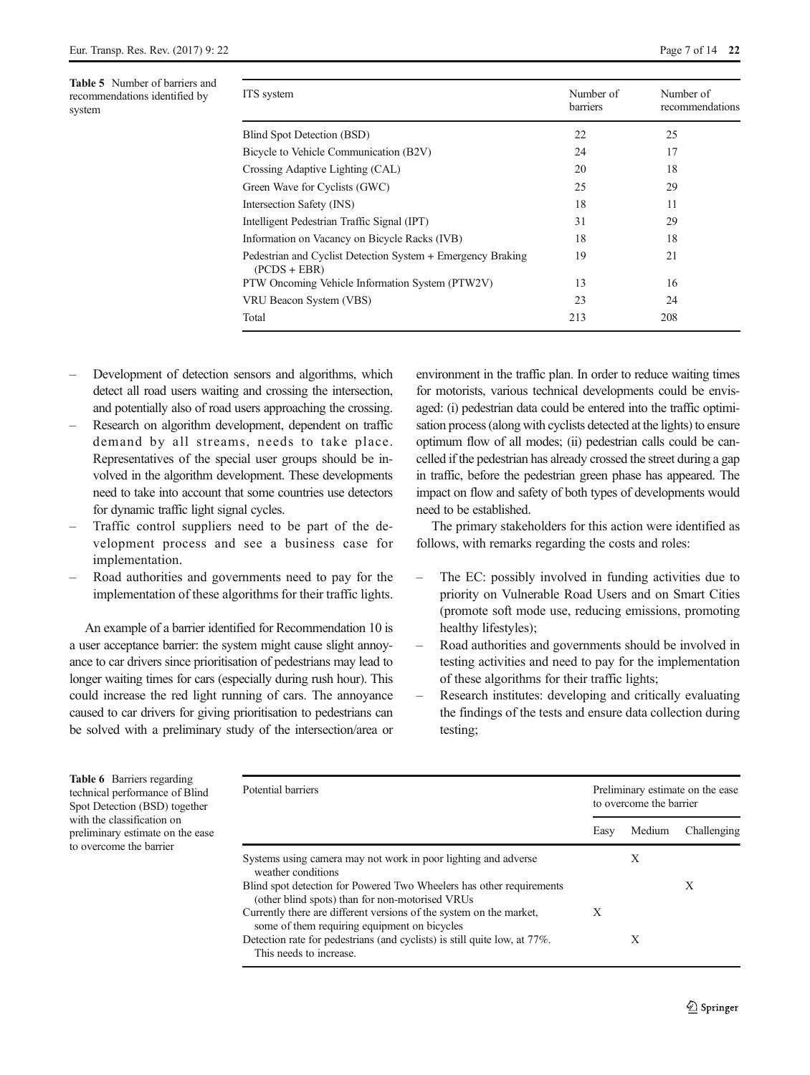<span id="page-6-0"></span>

| ITS system                                                                    | Number of<br>barriers | Number of<br>recommendations |  |
|-------------------------------------------------------------------------------|-----------------------|------------------------------|--|
| Blind Spot Detection (BSD)                                                    | 22                    | 25                           |  |
| Bicycle to Vehicle Communication (B2V)                                        | 24                    | 17                           |  |
| Crossing Adaptive Lighting (CAL)                                              | 20                    | 18                           |  |
| Green Wave for Cyclists (GWC)                                                 | 25                    | 29                           |  |
| Intersection Safety (INS)                                                     | 18                    | 11                           |  |
| Intelligent Pedestrian Traffic Signal (IPT)                                   | 31                    | 29                           |  |
| Information on Vacancy on Bicycle Racks (IVB)                                 | 18                    | 18                           |  |
| Pedestrian and Cyclist Detection System + Emergency Braking<br>$(PCDS + EBR)$ | 19                    | 21                           |  |
| PTW Oncoming Vehicle Information System (PTW2V)                               | 13                    | 16                           |  |
| VRU Beacon System (VBS)                                                       | 23                    | 24                           |  |
| Total                                                                         | 213                   | 208                          |  |

- Development of detection sensors and algorithms, which detect all road users waiting and crossing the intersection, and potentially also of road users approaching the crossing.
- Research on algorithm development, dependent on traffic demand by all streams, needs to take place. Representatives of the special user groups should be involved in the algorithm development. These developments need to take into account that some countries use detectors for dynamic traffic light signal cycles.
- Traffic control suppliers need to be part of the development process and see a business case for implementation.
- Road authorities and governments need to pay for the implementation of these algorithms for their traffic lights.

An example of a barrier identified for Recommendation 10 is a user acceptance barrier: the system might cause slight annoyance to car drivers since prioritisation of pedestrians may lead to longer waiting times for cars (especially during rush hour). This could increase the red light running of cars. The annoyance caused to car drivers for giving prioritisation to pedestrians can be solved with a preliminary study of the intersection/area or environment in the traffic plan. In order to reduce waiting times for motorists, various technical developments could be envisaged: (i) pedestrian data could be entered into the traffic optimisation process (along with cyclists detected at the lights) to ensure optimum flow of all modes; (ii) pedestrian calls could be cancelled if the pedestrian has already crossed the street during a gap in traffic, before the pedestrian green phase has appeared. The impact on flow and safety of both types of developments would need to be established.

The primary stakeholders for this action were identified as follows, with remarks regarding the costs and roles:

- The EC: possibly involved in funding activities due to priority on Vulnerable Road Users and on Smart Cities (promote soft mode use, reducing emissions, promoting healthy lifestyles);
- Road authorities and governments should be involved in testing activities and need to pay for the implementation of these algorithms for their traffic lights;
- Research institutes: developing and critically evaluating the findings of the tests and ensure data collection during testing;

Table 6 Barriers regarding technical performance of Blind Spot Detection (BSD) together with the classification on preliminary estimate on the ease to overcome the barrier

| Potential barriers                                                                                                      | Preliminary estimate on the ease<br>to overcome the barrier |        |             |  |  |
|-------------------------------------------------------------------------------------------------------------------------|-------------------------------------------------------------|--------|-------------|--|--|
|                                                                                                                         | Easy                                                        | Medium | Challenging |  |  |
| Systems using camera may not work in poor lighting and adverse<br>weather conditions                                    |                                                             | Х      |             |  |  |
| Blind spot detection for Powered Two Wheelers has other requirements<br>(other blind spots) than for non-motorised VRUs |                                                             |        | X           |  |  |
| Currently there are different versions of the system on the market,<br>some of them requiring equipment on bicycles     | X                                                           |        |             |  |  |
| Detection rate for pedestrians (and cyclists) is still quite low, at 77%.                                               |                                                             | Х      |             |  |  |
| This needs to increase.                                                                                                 |                                                             |        |             |  |  |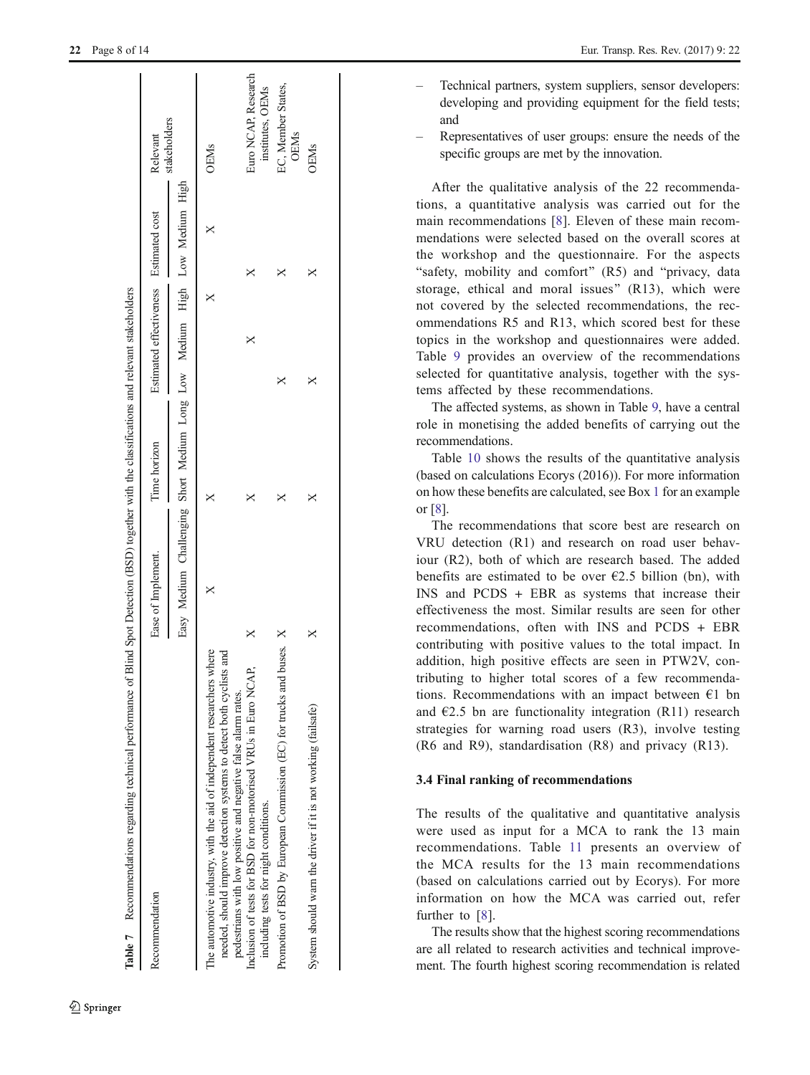<span id="page-7-0"></span>

| Table 7 Recommendations regarding technical performance of Blind Spot Detection (BSD) together with the classifications and relevant stakeholders                                                               |                                                                           |              |                                        |                                         |
|-----------------------------------------------------------------------------------------------------------------------------------------------------------------------------------------------------------------|---------------------------------------------------------------------------|--------------|----------------------------------------|-----------------------------------------|
| Recommendation                                                                                                                                                                                                  | Ease of Implement.                                                        | Time horizon | Estimated effectiveness Estimated cost | Relevant                                |
|                                                                                                                                                                                                                 | Easy Medium Challenging Short Medium Long Low Medium High Low Medium High |              |                                        | stakeholders                            |
| The automotive industry, with the aid of independent researchers where<br>needed, should improve detection systems to detect both cyclists and<br>pedestrians with low positive and negative false alarm rates. |                                                                           |              |                                        | OEMs                                    |
| Inclusion of tests for BSD for non-motorised VRUs in Euro NCAP,<br>including tests for night conditions.                                                                                                        |                                                                           |              |                                        | Euro NCAP, Research<br>institutes, OEMs |
| buses.<br>Promotion of BSD by European Commission (EC) for trucks and I                                                                                                                                         |                                                                           |              |                                        | EC, Member States,<br>OEMs              |
| System should warn the driver if it is not working (failsafe)                                                                                                                                                   |                                                                           |              |                                        | OEMS                                    |
|                                                                                                                                                                                                                 |                                                                           |              |                                        |                                         |

- Technical partners, system suppliers, sensor developers: developing and providing equipment for the field tests;
- Representatives of user groups: ensure the needs of the specific groups are met by the innovation.

and

After the qualitative analysis of the 22 recommendations, a quantitative analysis was carried out for the main recommendations [ [8\]](#page-13-0). Eleven of these main recommendations were selected based on the overall scores at the workshop and the questionnaire. For the aspects "safety, mobility and comfort" (R5) and "privacy, data storage, ethical and moral issues" (R13), which were not covered by the selected recommendations, the recommendations R5 and R13, which scored best for these topics in the workshop and questionnaires were added. Table [9](#page-9-0) provides an overview of the recommendations selected for quantitative analysis, together with the systems affected by these recommendations.

The affected systems, as shown in Table [9](#page-9-0), have a central role in monetising the added benefits of carrying out the recommendations.

Table [10](#page-9-0) shows the results of the quantitative analysis (based on calculations Ecorys (2016)). For more information on how these benefits are calculated, see Box [1](#page-4-0) for an example or [ [8\]](#page-13-0).

The recommendations that score best are research on VRU detection (R1) and research on road user behaviour (R2), both of which are research based. The added benefits are estimated to be over  $E2.5$  billion (bn), with INS and PCDS + EBR as systems that increase their effectiveness the most. Similar results are seen for other recommendations, often with INS and PCDS + EBR contributing with positive values to the total impact. In addition, high positive effects are seen in PTW2V, contributing to higher total scores of a few recommendations. Recommendations with an impact between  $\epsilon$ 1 bn and €2.5 bn are functionality integration (R11) research strategies for warning road users (R3), involve testing (R6 and R9), standardisation (R8) and privacy (R13).

#### 3.4 Final ranking of recommendations

The results of the qualitative and quantitative analysis were used as input for a MCA to rank the 13 main recommendations. Table [11](#page-10-0) presents an overview of the MCA results for the 13 main recommendations (based on calculations carried out by Ecorys). For more information on how the MCA was carried out, refer further to  $[8]$  $[8]$ .

The results show that the highest scoring recommendations are all related to research activities and technical improvement. The fourth highest scoring recommendation is related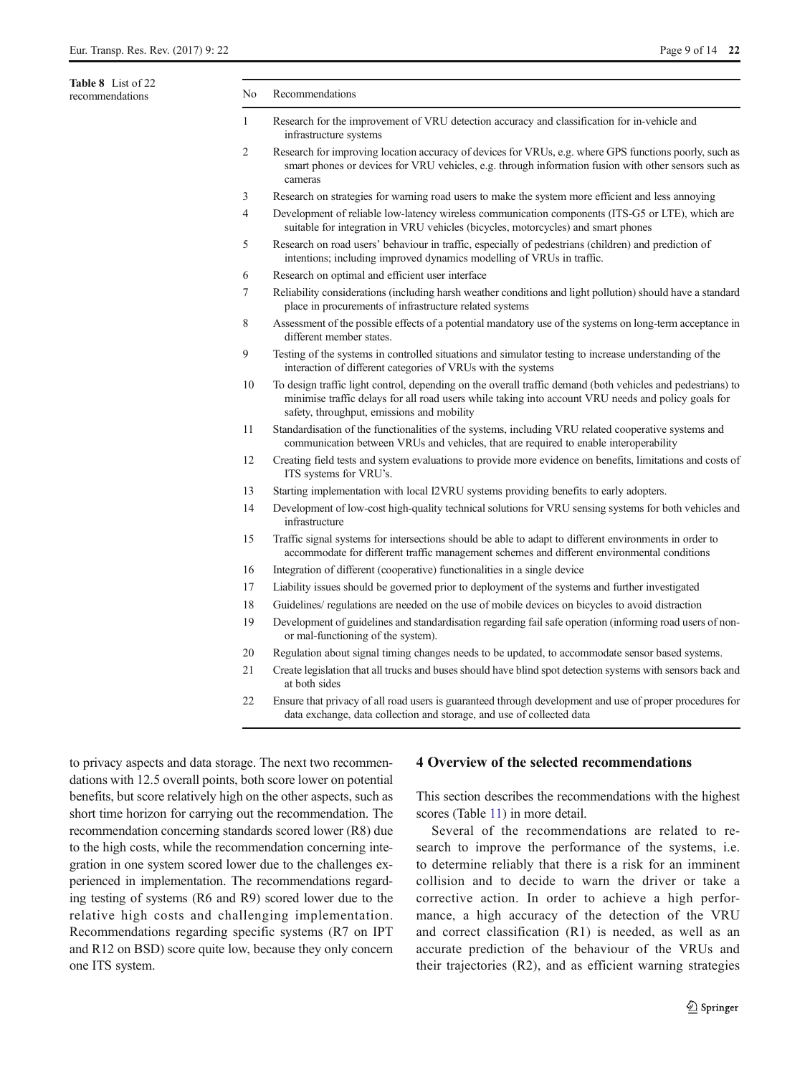<span id="page-8-0"></span>

| Table 8 List of 22<br>recommendations | No           | Recommendations                                                                                                                                                                                                                                                  |
|---------------------------------------|--------------|------------------------------------------------------------------------------------------------------------------------------------------------------------------------------------------------------------------------------------------------------------------|
|                                       | $\mathbf{1}$ | Research for the improvement of VRU detection accuracy and classification for in-vehicle and<br>infrastructure systems                                                                                                                                           |
|                                       | 2            | Research for improving location accuracy of devices for VRUs, e.g. where GPS functions poorly, such as<br>smart phones or devices for VRU vehicles, e.g. through information fusion with other sensors such as<br>cameras                                        |
|                                       | 3            | Research on strategies for warning road users to make the system more efficient and less annoying                                                                                                                                                                |
|                                       | 4            | Development of reliable low-latency wireless communication components (ITS-G5 or LTE), which are<br>suitable for integration in VRU vehicles (bicycles, motorcycles) and smart phones                                                                            |
|                                       | 5            | Research on road users' behaviour in traffic, especially of pedestrians (children) and prediction of<br>intentions; including improved dynamics modelling of VRUs in traffic.                                                                                    |
|                                       | 6            | Research on optimal and efficient user interface                                                                                                                                                                                                                 |
|                                       | 7            | Reliability considerations (including harsh weather conditions and light pollution) should have a standard<br>place in procurements of infrastructure related systems                                                                                            |
|                                       | 8            | Assessment of the possible effects of a potential mandatory use of the systems on long-term acceptance in<br>different member states.                                                                                                                            |
|                                       | 9            | Testing of the systems in controlled situations and simulator testing to increase understanding of the<br>interaction of different categories of VRUs with the systems                                                                                           |
|                                       | 10           | To design traffic light control, depending on the overall traffic demand (both vehicles and pedestrians) to<br>minimise traffic delays for all road users while taking into account VRU needs and policy goals for<br>safety, throughput, emissions and mobility |
|                                       | 11           | Standardisation of the functionalities of the systems, including VRU related cooperative systems and<br>communication between VRUs and vehicles, that are required to enable interoperability                                                                    |
|                                       | 12           | Creating field tests and system evaluations to provide more evidence on benefits, limitations and costs of<br>ITS systems for VRU's.                                                                                                                             |
|                                       | 13           | Starting implementation with local I2VRU systems providing benefits to early adopters.                                                                                                                                                                           |
|                                       | 14           | Development of low-cost high-quality technical solutions for VRU sensing systems for both vehicles and<br>infrastructure                                                                                                                                         |
|                                       | 15           | Traffic signal systems for intersections should be able to adapt to different environments in order to<br>accommodate for different traffic management schemes and different environmental conditions                                                            |
|                                       | 16           | Integration of different (cooperative) functionalities in a single device                                                                                                                                                                                        |
|                                       | 17           | Liability issues should be governed prior to deployment of the systems and further investigated                                                                                                                                                                  |
|                                       | 18           | Guidelines/ regulations are needed on the use of mobile devices on bicycles to avoid distraction                                                                                                                                                                 |
|                                       | 19           | Development of guidelines and standardisation regarding fail safe operation (informing road users of non-<br>or mal-functioning of the system).                                                                                                                  |
|                                       | 20           | Regulation about signal timing changes needs to be updated, to accommodate sensor based systems.                                                                                                                                                                 |
|                                       | 21           | Create legislation that all trucks and buses should have blind spot detection systems with sensors back and<br>at both sides                                                                                                                                     |
|                                       | 22           | Ensure that privacy of all road users is guaranteed through development and use of proper procedures for<br>data exchange, data collection and storage, and use of collected data                                                                                |

to privacy aspects and data storage. The next two recommendations with 12.5 overall points, both score lower on potential benefits, but score relatively high on the other aspects, such as short time horizon for carrying out the recommendation. The recommendation concerning standards scored lower (R8) due to the high costs, while the recommendation concerning integration in one system scored lower due to the challenges experienced in implementation. The recommendations regarding testing of systems (R6 and R9) scored lower due to the relative high costs and challenging implementation. Recommendations regarding specific systems (R7 on IPT and R12 on BSD) score quite low, because they only concern one ITS system.

#### 4 Overview of the selected recommendations

This section describes the recommendations with the highest scores (Table [11\)](#page-10-0) in more detail.

Several of the recommendations are related to research to improve the performance of the systems, i.e. to determine reliably that there is a risk for an imminent collision and to decide to warn the driver or take a corrective action. In order to achieve a high performance, a high accuracy of the detection of the VRU and correct classification (R1) is needed, as well as an accurate prediction of the behaviour of the VRUs and their trajectories (R2), and as efficient warning strategies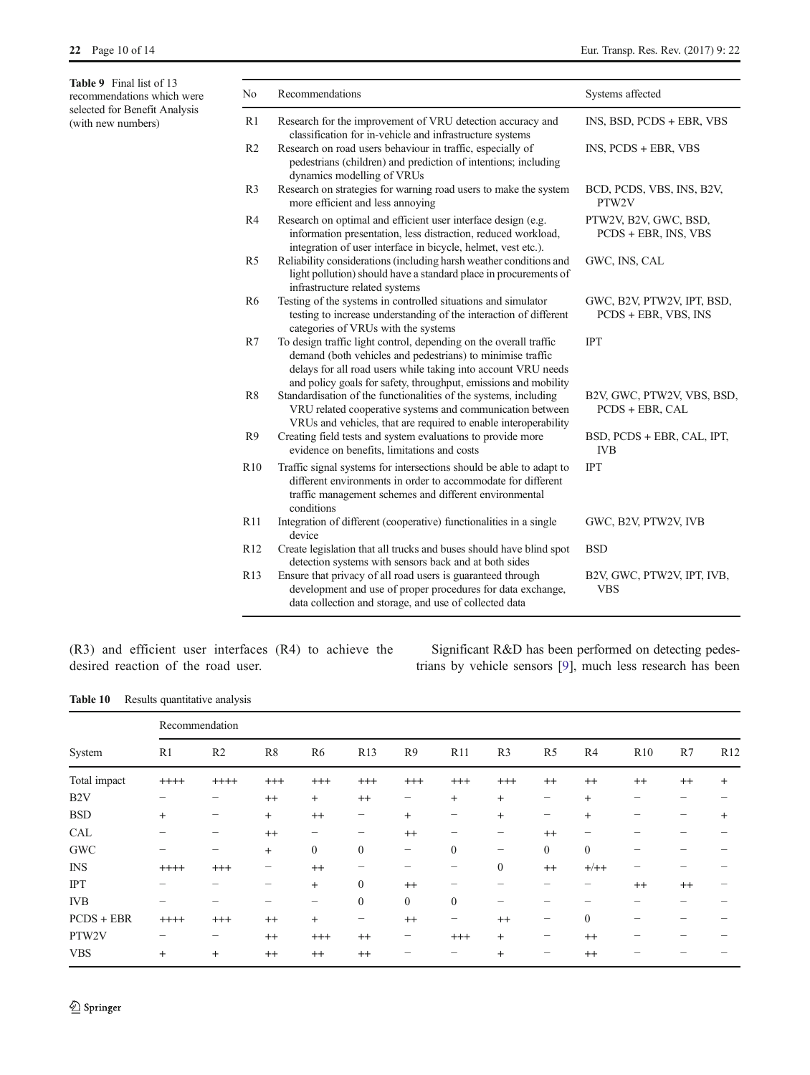<span id="page-9-0"></span>Table 9 Final list of 13 recommendations which were selected for Benefit Analysis (with new numbers)

| N <sub>0</sub>  | Recommendations                                                                                                                                                                                                                                                     | Systems affected                                   |
|-----------------|---------------------------------------------------------------------------------------------------------------------------------------------------------------------------------------------------------------------------------------------------------------------|----------------------------------------------------|
| R1              | Research for the improvement of VRU detection accuracy and<br>classification for in-vehicle and infrastructure systems                                                                                                                                              | INS, BSD, PCDS + EBR, VBS                          |
| R <sub>2</sub>  | Research on road users behaviour in traffic, especially of<br>pedestrians (children) and prediction of intentions; including<br>dynamics modelling of VRUs                                                                                                          | INS, PCDS + EBR, VBS                               |
| R <sub>3</sub>  | Research on strategies for warning road users to make the system<br>more efficient and less annoying                                                                                                                                                                | BCD, PCDS, VBS, INS, B2V,<br>PTW <sub>2</sub> V    |
| R <sub>4</sub>  | Research on optimal and efficient user interface design (e.g.<br>information presentation, less distraction, reduced workload,<br>integration of user interface in bicycle, helmet, vest etc.).                                                                     | PTW2V, B2V, GWC, BSD,<br>PCDS + EBR, INS, VBS      |
| R <sub>5</sub>  | Reliability considerations (including harsh weather conditions and<br>light pollution) should have a standard place in procurements of<br>infrastructure related systems                                                                                            | GWC, INS, CAL                                      |
| R <sub>6</sub>  | Testing of the systems in controlled situations and simulator<br>testing to increase understanding of the interaction of different<br>categories of VRUs with the systems                                                                                           | GWC, B2V, PTW2V, IPT, BSD,<br>PCDS + EBR, VBS, INS |
| R7              | To design traffic light control, depending on the overall traffic<br>demand (both vehicles and pedestrians) to minimise traffic<br>delays for all road users while taking into account VRU needs<br>and policy goals for safety, throughput, emissions and mobility | <b>IPT</b>                                         |
| R8              | Standardisation of the functionalities of the systems, including<br>VRU related cooperative systems and communication between<br>VRUs and vehicles, that are required to enable interoperability                                                                    | B2V, GWC, PTW2V, VBS, BSD,<br>PCDS + EBR, CAL      |
| R <sub>9</sub>  | Creating field tests and system evaluations to provide more<br>evidence on benefits, limitations and costs                                                                                                                                                          | BSD, PCDS + EBR, CAL, IPT,<br><b>IVB</b>           |
| R <sub>10</sub> | Traffic signal systems for intersections should be able to adapt to<br>different environments in order to accommodate for different<br>traffic management schemes and different environmental<br>conditions                                                         | <b>IPT</b>                                         |
| R <sub>11</sub> | Integration of different (cooperative) functionalities in a single<br>device                                                                                                                                                                                        | GWC, B2V, PTW2V, IVB                               |
| R <sub>12</sub> | Create legislation that all trucks and buses should have blind spot<br>detection systems with sensors back and at both sides                                                                                                                                        | <b>BSD</b>                                         |
| R13             | Ensure that privacy of all road users is guaranteed through<br>development and use of proper procedures for data exchange,<br>data collection and storage, and use of collected data                                                                                | B2V, GWC, PTW2V, IPT, IVB,<br><b>VBS</b>           |

(R3) and efficient user interfaces (R4) to achieve the desired reaction of the road user.

Significant R&D has been performed on detecting pedestrians by vehicle sensors [[9\]](#page-13-0), much less research has been

Table 10 Results quantitative analysis

|                  | Recommendation           |                   |          |                |                   |                   |                          |                |                          |              |         |         |                 |
|------------------|--------------------------|-------------------|----------|----------------|-------------------|-------------------|--------------------------|----------------|--------------------------|--------------|---------|---------|-----------------|
| System           | R1                       | R <sub>2</sub>    | R8       | R <sub>6</sub> | R <sub>13</sub>   | R <sub>9</sub>    | R11                      | R <sub>3</sub> | R <sub>5</sub>           | R4           | R10     | R7      | R <sub>12</sub> |
| Total impact     | $++++$                   | $++++$            | $^{+++}$ | $^{+++}$       | $^{+++}$          | $^{+++}$          | $^{+++}$                 | $^{+++}$       | $^{++}$                  | $^{++}$      | $++$    | $^{++}$ | $+$             |
| B <sub>2</sub> V | $\overline{\phantom{0}}$ | $\qquad \qquad -$ | $^{++}$  | $+$            | $^{++}$           | $\qquad \qquad -$ | $+$                      | $+$            | $\overline{\phantom{m}}$ | $+$          |         |         |                 |
| <b>BSD</b>       | $^{+}$                   | -                 | $+$      | $^{++}$        | $\qquad \qquad -$ | $+$               | $\overline{\phantom{m}}$ | $+$            | -                        | $+$          |         |         | $+$             |
| CAL              | -                        | —                 | $^{++}$  | -              | -                 | $^{++}$           |                          | —              | $^{++}$                  |              |         |         |                 |
| <b>GWC</b>       |                          |                   | $^{+}$   | $\mathbf{0}$   | $\boldsymbol{0}$  | $\qquad \qquad -$ | $\mathbf{0}$             |                | $\theta$                 | $\theta$     |         |         |                 |
| <b>INS</b>       | $++++$                   | $^{+++}$          | $\equiv$ | $++$           | —                 |                   |                          | $\mathbf{0}$   | $^{++}$                  | $+/++$       | -       |         |                 |
| <b>IPT</b>       |                          |                   |          | $\ddot{}$      | $\mathbf{0}$      | $^{++}$           |                          |                |                          |              | $^{++}$ | $++$    |                 |
| <b>IVB</b>       | -                        |                   |          | —              | $\boldsymbol{0}$  | $\mathbf{0}$      | $\mathbf{0}$             |                |                          |              |         |         |                 |
| $PCDS + EBR$     | $++++$                   | $^{+++}$          | $^{++}$  | $+$            | -                 | $^{++}$           |                          | $^{++}$        | -                        | $\mathbf{0}$ |         |         |                 |
| PTW2V            | $\overline{\phantom{0}}$ | -                 | $^{++}$  | $^{+++}$       | $++$              | $\equiv$          | $^{+++}$                 | $+$            | $\equiv$                 | $^{++}$      |         |         |                 |
| <b>VBS</b>       | $^{+}$                   | $^{+}$            | $^{++}$  | $^{++}$        | $^{++}$           |                   |                          | $^{+}$         |                          | $^{++}$      |         |         |                 |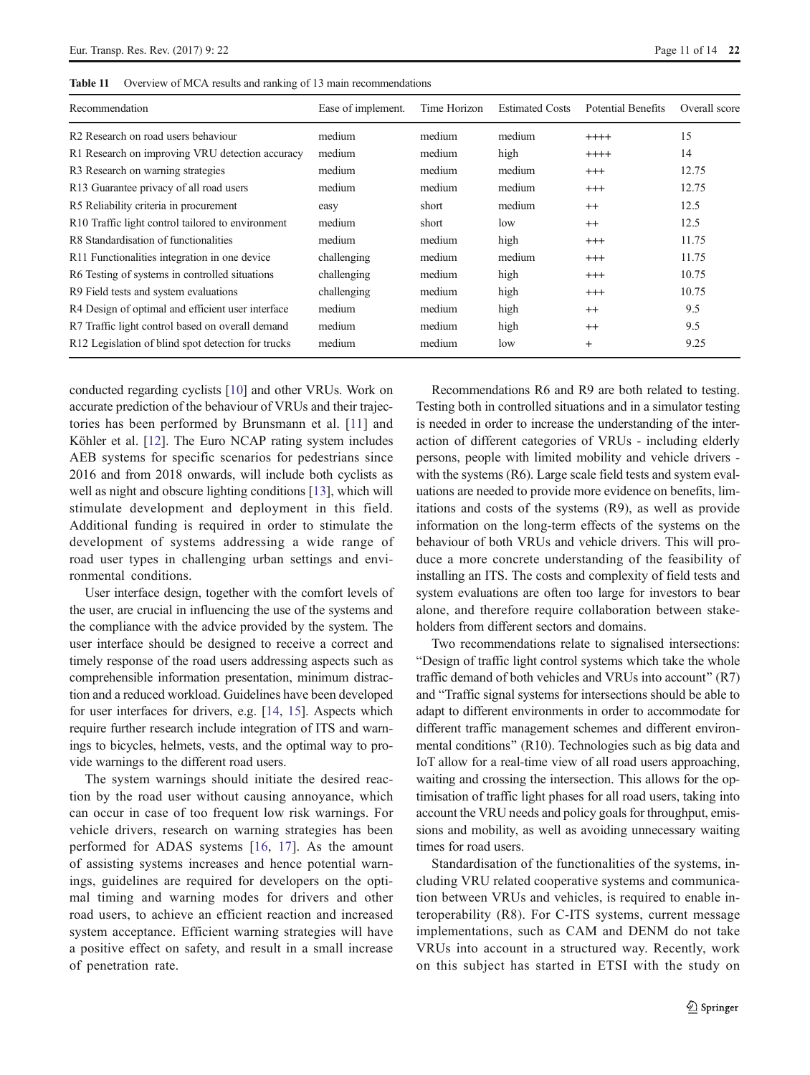<span id="page-10-0"></span>

|  |  |  |  |  |  |  |  | <b>Table 11</b> Overview of MCA results and ranking of 13 main recommendations |
|--|--|--|--|--|--|--|--|--------------------------------------------------------------------------------|
|--|--|--|--|--|--|--|--|--------------------------------------------------------------------------------|

| Recommendation                                                | Ease of implement. | Time Horizon | <b>Estimated Costs</b> | Potential Benefits | Overall score |
|---------------------------------------------------------------|--------------------|--------------|------------------------|--------------------|---------------|
| R <sub>2</sub> Research on road users behaviour               | medium             | medium       | medium                 | $++++$             | 15            |
| R1 Research on improving VRU detection accuracy               | medium             | medium       | high                   | $++++$             | 14            |
| R <sub>3</sub> Research on warning strategies                 | medium             | medium       | medium                 | $^{+++}$           | 12.75         |
| R <sub>13</sub> Guarantee privacy of all road users           | medium             | medium       | medium                 | $^{+++}$           | 12.75         |
| R5 Reliability criteria in procurement                        | easy               | short        | medium                 | $++$               | 12.5          |
| R <sub>10</sub> Traffic light control tailored to environment | medium             | short        | low                    | $++$               | 12.5          |
| R8 Standardisation of functionalities                         | medium             | medium       | high                   | $^{+++}$           | 11.75         |
| R11 Functionalities integration in one device                 | challenging        | medium       | medium                 | $^{+++}$           | 11.75         |
| R6 Testing of systems in controlled situations                | challenging        | medium       | high                   | $^{+++}$           | 10.75         |
| R9 Field tests and system evaluations                         | challenging        | medium       | high                   | $^{+++}$           | 10.75         |
| R4 Design of optimal and efficient user interface             | medium             | medium       | high                   | $++$               | 9.5           |
| R7 Traffic light control based on overall demand              | medium             | medium       | high                   | $^{++}$            | 9.5           |
| R12 Legislation of blind spot detection for trucks            | medium             | medium       | low                    | $+$                | 9.25          |

conducted regarding cyclists [[10\]](#page-13-0) and other VRUs. Work on accurate prediction of the behaviour of VRUs and their trajectories has been performed by Brunsmann et al. [\[11](#page-13-0)] and Köhler et al. [[12\]](#page-13-0). The Euro NCAP rating system includes AEB systems for specific scenarios for pedestrians since 2016 and from 2018 onwards, will include both cyclists as well as night and obscure lighting conditions [\[13\]](#page-13-0), which will stimulate development and deployment in this field. Additional funding is required in order to stimulate the development of systems addressing a wide range of road user types in challenging urban settings and environmental conditions.

User interface design, together with the comfort levels of the user, are crucial in influencing the use of the systems and the compliance with the advice provided by the system. The user interface should be designed to receive a correct and timely response of the road users addressing aspects such as comprehensible information presentation, minimum distraction and a reduced workload. Guidelines have been developed for user interfaces for drivers, e.g. [[14,](#page-13-0) [15](#page-13-0)]. Aspects which require further research include integration of ITS and warnings to bicycles, helmets, vests, and the optimal way to provide warnings to the different road users.

The system warnings should initiate the desired reaction by the road user without causing annoyance, which can occur in case of too frequent low risk warnings. For vehicle drivers, research on warning strategies has been performed for ADAS systems [[16](#page-13-0), [17\]](#page-13-0). As the amount of assisting systems increases and hence potential warnings, guidelines are required for developers on the optimal timing and warning modes for drivers and other road users, to achieve an efficient reaction and increased system acceptance. Efficient warning strategies will have a positive effect on safety, and result in a small increase of penetration rate.

Recommendations R6 and R9 are both related to testing. Testing both in controlled situations and in a simulator testing is needed in order to increase the understanding of the interaction of different categories of VRUs - including elderly persons, people with limited mobility and vehicle drivers with the systems (R6). Large scale field tests and system evaluations are needed to provide more evidence on benefits, limitations and costs of the systems (R9), as well as provide information on the long-term effects of the systems on the behaviour of both VRUs and vehicle drivers. This will produce a more concrete understanding of the feasibility of installing an ITS. The costs and complexity of field tests and system evaluations are often too large for investors to bear alone, and therefore require collaboration between stakeholders from different sectors and domains.

Two recommendations relate to signalised intersections: "Design of traffic light control systems which take the whole traffic demand of both vehicles and VRUs into account^ (R7) and "Traffic signal systems for intersections should be able to adapt to different environments in order to accommodate for different traffic management schemes and different environmental conditions" (R10). Technologies such as big data and IoT allow for a real-time view of all road users approaching, waiting and crossing the intersection. This allows for the optimisation of traffic light phases for all road users, taking into account the VRU needs and policy goals for throughput, emissions and mobility, as well as avoiding unnecessary waiting times for road users.

Standardisation of the functionalities of the systems, including VRU related cooperative systems and communication between VRUs and vehicles, is required to enable interoperability (R8). For C-ITS systems, current message implementations, such as CAM and DENM do not take VRUs into account in a structured way. Recently, work on this subject has started in ETSI with the study on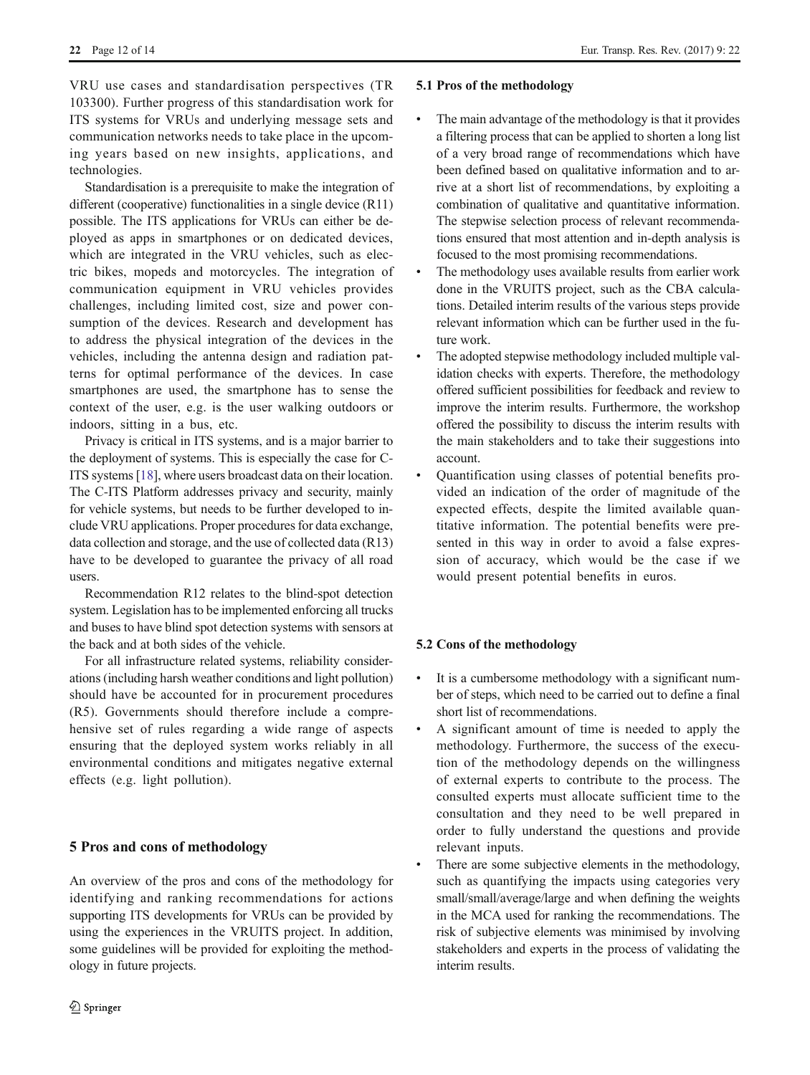VRU use cases and standardisation perspectives (TR 103300). Further progress of this standardisation work for ITS systems for VRUs and underlying message sets and communication networks needs to take place in the upcoming years based on new insights, applications, and technologies.

Standardisation is a prerequisite to make the integration of different (cooperative) functionalities in a single device (R11) possible. The ITS applications for VRUs can either be deployed as apps in smartphones or on dedicated devices, which are integrated in the VRU vehicles, such as electric bikes, mopeds and motorcycles. The integration of communication equipment in VRU vehicles provides challenges, including limited cost, size and power consumption of the devices. Research and development has to address the physical integration of the devices in the vehicles, including the antenna design and radiation patterns for optimal performance of the devices. In case smartphones are used, the smartphone has to sense the context of the user, e.g. is the user walking outdoors or indoors, sitting in a bus, etc.

Privacy is critical in ITS systems, and is a major barrier to the deployment of systems. This is especially the case for C-ITS systems [\[18\]](#page-13-0), where users broadcast data on their location. The C-ITS Platform addresses privacy and security, mainly for vehicle systems, but needs to be further developed to include VRU applications. Proper procedures for data exchange, data collection and storage, and the use of collected data (R13) have to be developed to guarantee the privacy of all road users.

Recommendation R12 relates to the blind-spot detection system. Legislation has to be implemented enforcing all trucks and buses to have blind spot detection systems with sensors at the back and at both sides of the vehicle.

For all infrastructure related systems, reliability considerations (including harsh weather conditions and light pollution) should have be accounted for in procurement procedures (R5). Governments should therefore include a comprehensive set of rules regarding a wide range of aspects ensuring that the deployed system works reliably in all environmental conditions and mitigates negative external effects (e.g. light pollution).

# 5 Pros and cons of methodology

An overview of the pros and cons of the methodology for identifying and ranking recommendations for actions supporting ITS developments for VRUs can be provided by using the experiences in the VRUITS project. In addition, some guidelines will be provided for exploiting the methodology in future projects.

# 5.1 Pros of the methodology

- The main advantage of the methodology is that it provides a filtering process that can be applied to shorten a long list of a very broad range of recommendations which have been defined based on qualitative information and to arrive at a short list of recommendations, by exploiting a combination of qualitative and quantitative information. The stepwise selection process of relevant recommendations ensured that most attention and in-depth analysis is focused to the most promising recommendations.
- The methodology uses available results from earlier work done in the VRUITS project, such as the CBA calculations. Detailed interim results of the various steps provide relevant information which can be further used in the future work.
- The adopted stepwise methodology included multiple validation checks with experts. Therefore, the methodology offered sufficient possibilities for feedback and review to improve the interim results. Furthermore, the workshop offered the possibility to discuss the interim results with the main stakeholders and to take their suggestions into account.
- & Quantification using classes of potential benefits provided an indication of the order of magnitude of the expected effects, despite the limited available quantitative information. The potential benefits were presented in this way in order to avoid a false expression of accuracy, which would be the case if we would present potential benefits in euros.

# 5.2 Cons of the methodology

- It is a cumbersome methodology with a significant number of steps, which need to be carried out to define a final short list of recommendations.
- & A significant amount of time is needed to apply the methodology. Furthermore, the success of the execution of the methodology depends on the willingness of external experts to contribute to the process. The consulted experts must allocate sufficient time to the consultation and they need to be well prepared in order to fully understand the questions and provide relevant inputs.
- There are some subjective elements in the methodology, such as quantifying the impacts using categories very small/small/average/large and when defining the weights in the MCA used for ranking the recommendations. The risk of subjective elements was minimised by involving stakeholders and experts in the process of validating the interim results.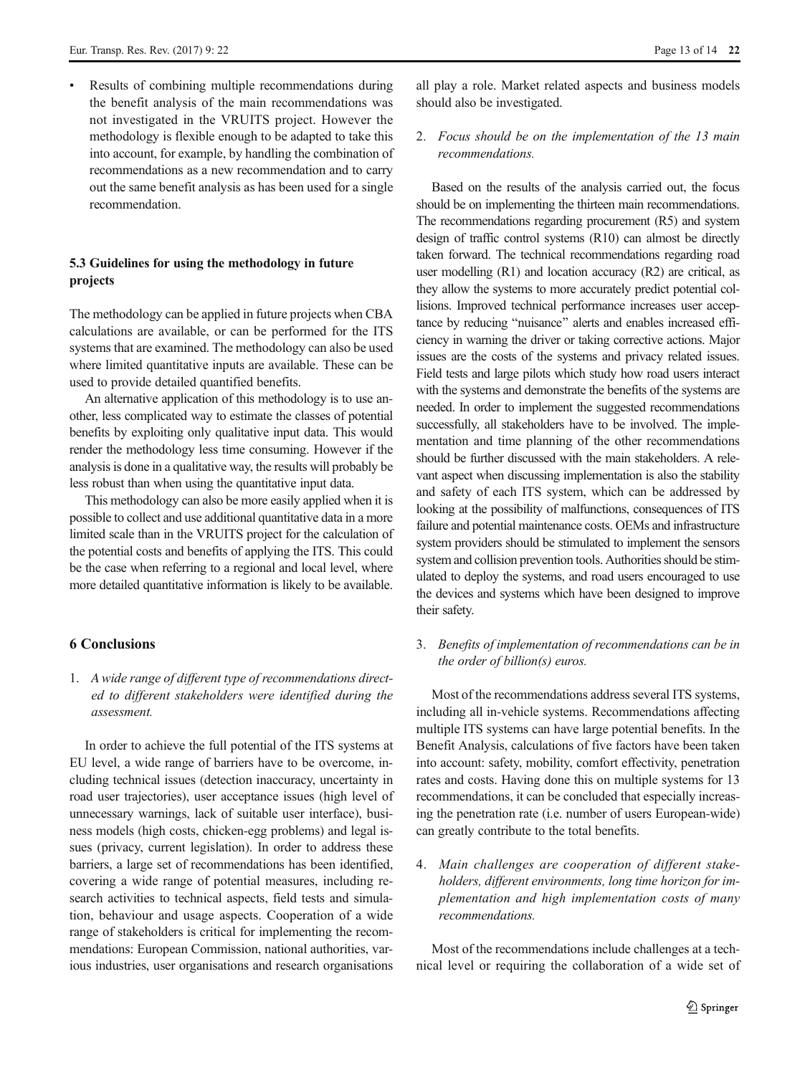<span id="page-12-0"></span>Results of combining multiple recommendations during the benefit analysis of the main recommendations was not investigated in the VRUITS project. However the methodology is flexible enough to be adapted to take this into account, for example, by handling the combination of recommendations as a new recommendation and to carry out the same benefit analysis as has been used for a single recommendation.

# 5.3 Guidelines for using the methodology in future projects

The methodology can be applied in future projects when CBA calculations are available, or can be performed for the ITS systems that are examined. The methodology can also be used where limited quantitative inputs are available. These can be used to provide detailed quantified benefits.

An alternative application of this methodology is to use another, less complicated way to estimate the classes of potential benefits by exploiting only qualitative input data. This would render the methodology less time consuming. However if the analysis is done in a qualitative way, the results will probably be less robust than when using the quantitative input data.

This methodology can also be more easily applied when it is possible to collect and use additional quantitative data in a more limited scale than in the VRUITS project for the calculation of the potential costs and benefits of applying the ITS. This could be the case when referring to a regional and local level, where more detailed quantitative information is likely to be available.

# 6 Conclusions

# 1. A wide range of different type of recommendations directed to different stakeholders were identified during the assessment.

In order to achieve the full potential of the ITS systems at EU level, a wide range of barriers have to be overcome, including technical issues (detection inaccuracy, uncertainty in road user trajectories), user acceptance issues (high level of unnecessary warnings, lack of suitable user interface), business models (high costs, chicken-egg problems) and legal issues (privacy, current legislation). In order to address these barriers, a large set of recommendations has been identified, covering a wide range of potential measures, including research activities to technical aspects, field tests and simulation, behaviour and usage aspects. Cooperation of a wide range of stakeholders is critical for implementing the recommendations: European Commission, national authorities, various industries, user organisations and research organisations

all play a role. Market related aspects and business models should also be investigated.

# 2. Focus should be on the implementation of the 13 main recommendations.

Based on the results of the analysis carried out, the focus should be on implementing the thirteen main recommendations. The recommendations regarding procurement (R5) and system design of traffic control systems (R10) can almost be directly taken forward. The technical recommendations regarding road user modelling (R1) and location accuracy (R2) are critical, as they allow the systems to more accurately predict potential collisions. Improved technical performance increases user acceptance by reducing "nuisance" alerts and enables increased efficiency in warning the driver or taking corrective actions. Major issues are the costs of the systems and privacy related issues. Field tests and large pilots which study how road users interact with the systems and demonstrate the benefits of the systems are needed. In order to implement the suggested recommendations successfully, all stakeholders have to be involved. The implementation and time planning of the other recommendations should be further discussed with the main stakeholders. A relevant aspect when discussing implementation is also the stability and safety of each ITS system, which can be addressed by looking at the possibility of malfunctions, consequences of ITS failure and potential maintenance costs. OEMs and infrastructure system providers should be stimulated to implement the sensors system and collision prevention tools. Authorities should be stimulated to deploy the systems, and road users encouraged to use the devices and systems which have been designed to improve their safety.

## 3. Benefits of implementation of recommendations can be in the order of billion(s) euros.

Most of the recommendations address several ITS systems, including all in-vehicle systems. Recommendations affecting multiple ITS systems can have large potential benefits. In the Benefit Analysis, calculations of five factors have been taken into account: safety, mobility, comfort effectivity, penetration rates and costs. Having done this on multiple systems for 13 recommendations, it can be concluded that especially increasing the penetration rate (i.e. number of users European-wide) can greatly contribute to the total benefits.

4. Main challenges are cooperation of different stakeholders, different environments, long time horizon for implementation and high implementation costs of many recommendations.

Most of the recommendations include challenges at a technical level or requiring the collaboration of a wide set of